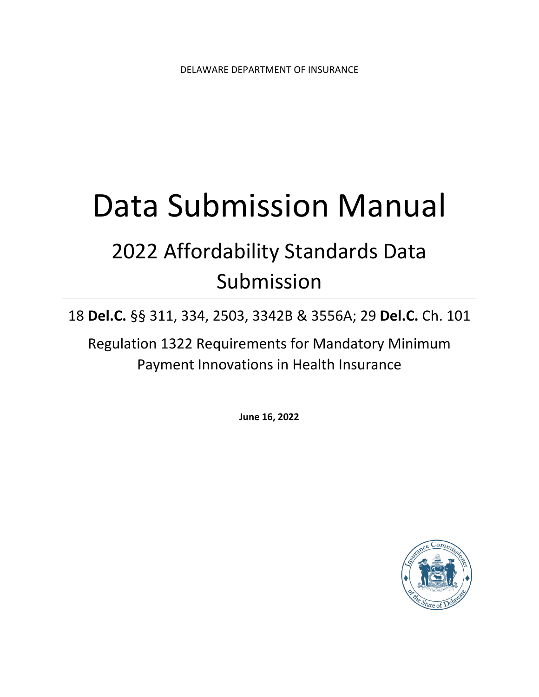# Data Submission Manual

# 2022 Affordability Standards Data Submission

18 **Del.C.** §§ 311, 334, 2503, 3342B & 3556A; 29 **Del.C.** Ch. 101

Regulation 1322 Requirements for Mandatory Minimum Payment Innovations in Health Insurance

**June 16, 2022**

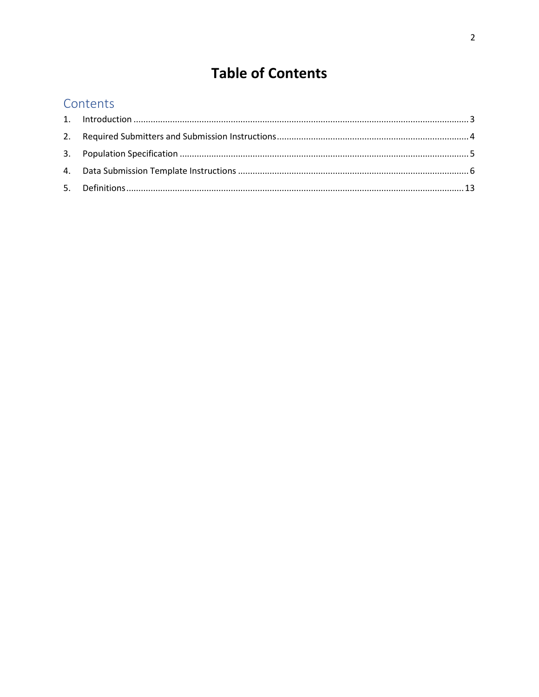# **Table of Contents**

# Contents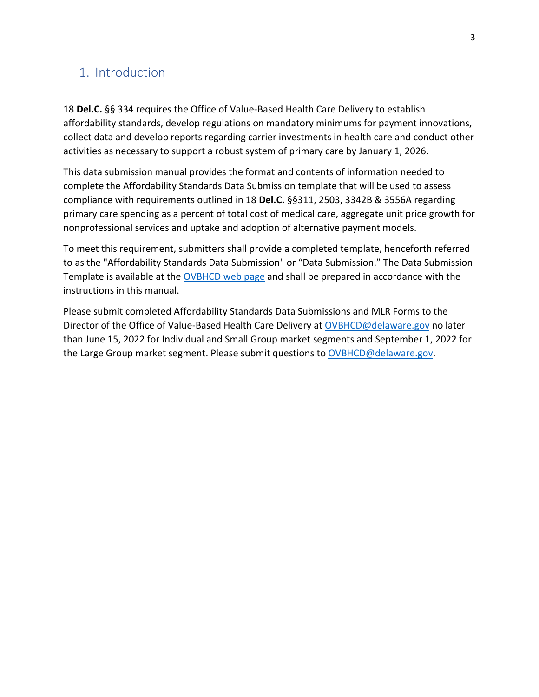# <span id="page-2-0"></span>1. Introduction

18 **Del.C.** §§ 334 requires the Office of Value-Based Health Care Delivery to establish affordability standards, develop regulations on mandatory minimums for payment innovations, collect data and develop reports regarding carrier investments in health care and conduct other activities as necessary to support a robust system of primary care by January 1, 2026.

This data submission manual provides the format and contents of information needed to complete the Affordability Standards Data Submission template that will be used to assess compliance with requirements outlined in 18 **Del.C.** §§311, 2503, 3342B & 3556A regarding primary care spending as a percent of total cost of medical care, aggregate unit price growth for nonprofessional services and uptake and adoption of alternative payment models.

To meet this requirement, submitters shall provide a completed template, henceforth referred to as the "Affordability Standards Data Submission" or "Data Submission." The Data Submission Template is available at the [OVBHCD web page](https://insurance.delaware.gov/divisions/consumerhp/ovbhcd/) and shall be prepared in accordance with the instructions in this manual.

Please submit completed Affordability Standards Data Submissions and MLR Forms to the Director of the Office of Value-Based Health Care Delivery at [OVBHCD@delaware.gov](mailto:OVBHCD@delaware.gov) no later than June 15, 2022 for Individual and Small Group market segments and September 1, 2022 for the Large Group market segment. Please submit questions to [OVBHCD@delaware.gov.](mailto:OVBHCD@delaware.gov)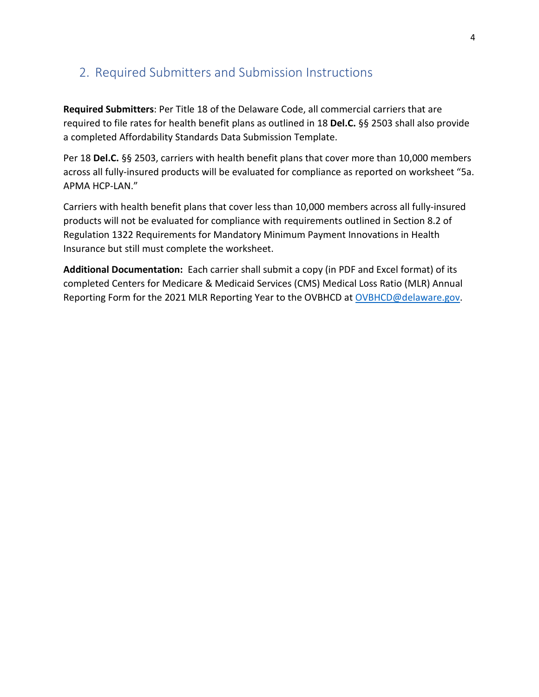## <span id="page-3-0"></span>2. Required Submitters and Submission Instructions

**Required Submitters**: Per Title 18 of the Delaware Code, all commercial carriers that are required to file rates for health benefit plans as outlined in 18 **Del.C.** §§ 2503 shall also provide a completed Affordability Standards Data Submission Template.

Per 18 **Del.C.** §§ 2503, carriers with health benefit plans that cover more than 10,000 members across all fully-insured products will be evaluated for compliance as reported on worksheet "5a. APMA HCP-LAN."

Carriers with health benefit plans that cover less than 10,000 members across all fully-insured products will not be evaluated for compliance with requirements outlined in Section 8.2 of Regulation 1322 Requirements for Mandatory Minimum Payment Innovations in Health Insurance but still must complete the worksheet.

**Additional Documentation:** Each carrier shall submit a copy (in PDF and Excel format) of its completed Centers for Medicare & Medicaid Services (CMS) Medical Loss Ratio (MLR) Annual Reporting Form for the 2021 MLR Reporting Year to the OVBHCD at [OVBHCD@delaware.gov.](mailto:OVBHCD@delaware.gov)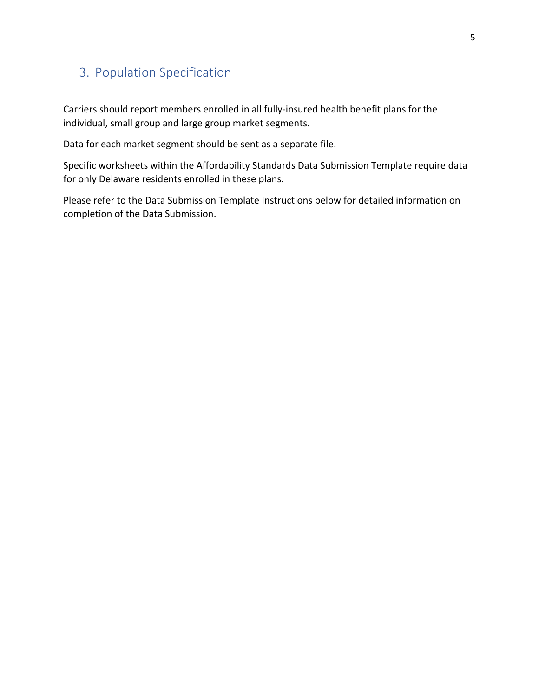# <span id="page-4-0"></span>3. Population Specification

Carriers should report members enrolled in all fully-insured health benefit plans for the individual, small group and large group market segments.

Data for each market segment should be sent as a separate file.

Specific worksheets within the Affordability Standards Data Submission Template require data for only Delaware residents enrolled in these plans.

Please refer to the Data Submission Template Instructions below for detailed information on completion of the Data Submission.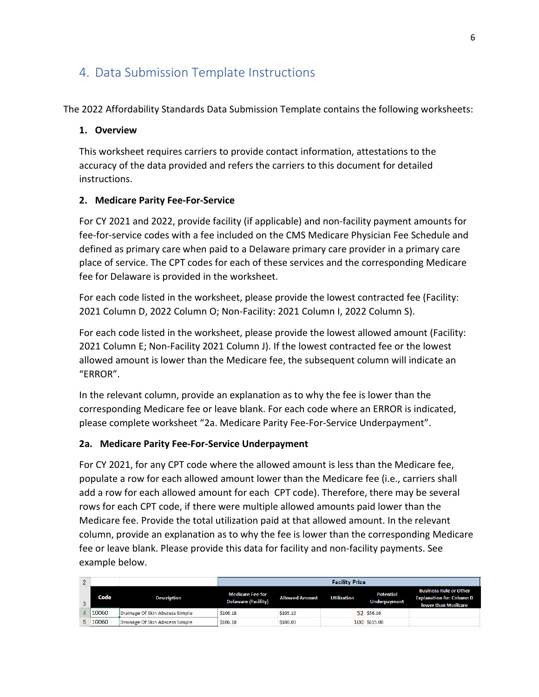# <span id="page-5-0"></span>4. Data Submission Template Instructions

The 2022 Affordability Standards Data Submission Template contains the following worksheets:

#### **1. Overview**

This worksheet requires carriers to provide contact information, attestations to the accuracy of the data provided and refers the carriers to this document for detailed instructions.

#### **2. Medicare Parity Fee-For-Service**

For CY 2021 and 2022, provide facility (if applicable) and non-facility payment amounts for fee-for-service codes with a fee included on the CMS Medicare Physician Fee Schedule and defined as primary care when paid to a Delaware primary care provider in a primary care place of service. The CPT codes for each of these services and the corresponding Medicare fee for Delaware is provided in the worksheet.

For each code listed in the worksheet, please provide the lowest contracted fee (Facility: 2021 Column D, 2022 Column O; Non-Facility: 2021 Column I, 2022 Column S).

For each code listed in the worksheet, please provide the lowest allowed amount (Facility: 2021 Column E; Non-Facility 2021 Column J). If the lowest contracted fee or the lowest allowed amount is lower than the Medicare fee, the subsequent column will indicate an "ERROR".

In the relevant column, provide an explanation as to why the fee is lower than the corresponding Medicare fee or leave blank. For each code where an ERROR is indicated, please complete worksheet "2a. Medicare Parity Fee-For-Service Underpayment".

#### **2a. Medicare Parity Fee-For-Service Underpayment**

For CY 2021, for any CPT code where the allowed amount is less than the Medicare fee, populate a row for each allowed amount lower than the Medicare fee (i.e., carriers shall add a row for each allowed amount for each CPT code). Therefore, there may be several rows for each CPT code, if there were multiple allowed amounts paid lower than the Medicare fee. Provide the total utilization paid at that allowed amount. In the relevant column, provide an explanation as to why the fee is lower than the corresponding Medicare fee or leave blank. Please provide this data for facility and non-facility payments. See example below.

| 2  |       |                                 | <b>Facility Price</b>                                 |                       |                    |                                  |                                                                                                |
|----|-------|---------------------------------|-------------------------------------------------------|-----------------------|--------------------|----------------------------------|------------------------------------------------------------------------------------------------|
| 3  | Code  | <b>Description</b>              | <b>Medicare Fee for</b><br><b>Delaware (Facility)</b> | <b>Allowed Amount</b> | <b>Utilization</b> | <b>Potential</b><br>Underpayment | <b>Business Rule or Other</b><br><b>Explanation Re: Column D</b><br><b>lower than Medicare</b> |
| 4  | 10060 | Drainage Of Skin Abscess Simple | \$106.18                                              | \$105.10              |                    | 52 \$56.16                       |                                                                                                |
| 5. | 10060 | Drainage Of Skin Abscess Simple | \$106.18                                              | \$100.03              |                    | 100 \$615.00                     |                                                                                                |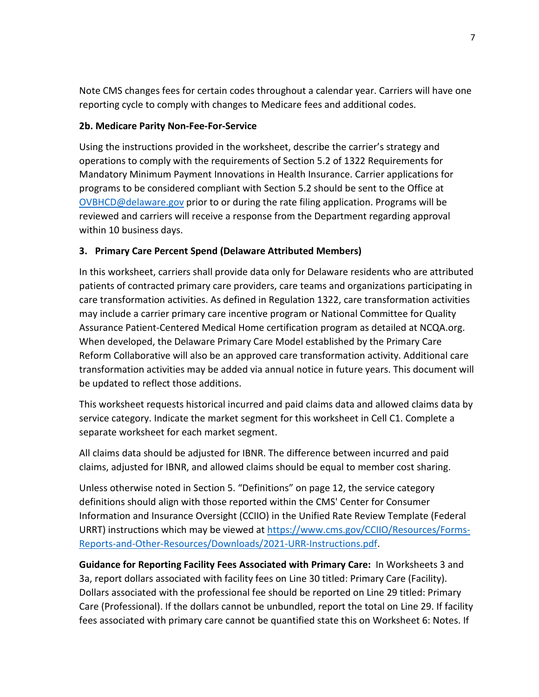Note CMS changes fees for certain codes throughout a calendar year. Carriers will have one reporting cycle to comply with changes to Medicare fees and additional codes.

#### **2b. Medicare Parity Non-Fee-For-Service**

Using the instructions provided in the worksheet, describe the carrier's strategy and operations to comply with the requirements of Section 5.2 of 1322 Requirements for Mandatory Minimum Payment Innovations in Health Insurance. Carrier applications for programs to be considered compliant with Section 5.2 should be sent to the Office at [OVBHCD@delaware.gov](mailto:OVBHCD@delaware.gov) prior to or during the rate filing application. Programs will be reviewed and carriers will receive a response from the Department regarding approval within 10 business days.

#### **3. Primary Care Percent Spend (Delaware Attributed Members)**

In this worksheet, carriers shall provide data only for Delaware residents who are attributed patients of contracted primary care providers, care teams and organizations participating in care transformation activities. As defined in Regulation 1322, care transformation activities may include a carrier primary care incentive program or National Committee for Quality Assurance Patient-Centered Medical Home certification program as detailed at NCQA.org. When developed, the Delaware Primary Care Model established by the Primary Care Reform Collaborative will also be an approved care transformation activity. Additional care transformation activities may be added via annual notice in future years. This document will be updated to reflect those additions.

This worksheet requests historical incurred and paid claims data and allowed claims data by service category. Indicate the market segment for this worksheet in Cell C1. Complete a separate worksheet for each market segment.

All claims data should be adjusted for IBNR. The difference between incurred and paid claims, adjusted for IBNR, and allowed claims should be equal to member cost sharing.

Unless otherwise noted in Section 5. "Definitions" on page 12, the service category definitions should align with those reported within the CMS' Center for Consumer Information and Insurance Oversight (CCIIO) in the Unified Rate Review Template (Federal URRT) instructions which may be viewed at [https://www.cms.gov/CCIIO/Resources/Forms-](https://www.cms.gov/CCIIO/Resources/Forms-Reports-and-Other-Resources/Downloads/2021-URR-Instructions.pdf)[Reports-and-Other-Resources/Downloads/2021-URR-Instructions.pdf.](https://www.cms.gov/CCIIO/Resources/Forms-Reports-and-Other-Resources/Downloads/2021-URR-Instructions.pdf)

**Guidance for Reporting Facility Fees Associated with Primary Care:** In Worksheets 3 and 3a, report dollars associated with facility fees on Line 30 titled: Primary Care (Facility). Dollars associated with the professional fee should be reported on Line 29 titled: Primary Care (Professional). If the dollars cannot be unbundled, report the total on Line 29. If facility fees associated with primary care cannot be quantified state this on Worksheet 6: Notes. If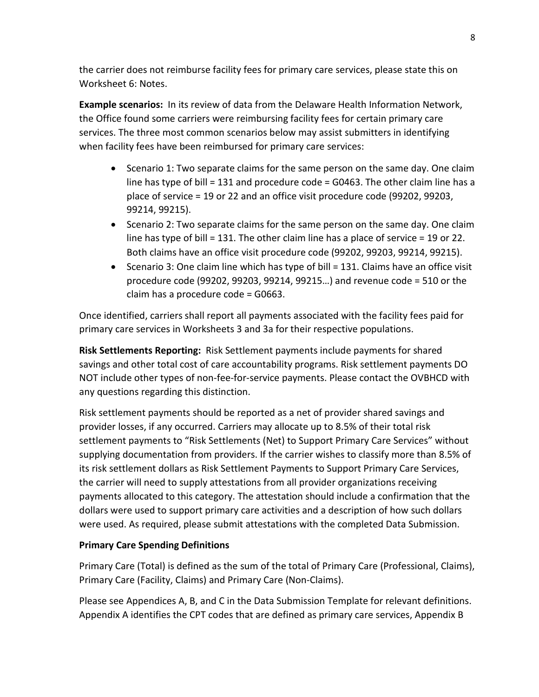the carrier does not reimburse facility fees for primary care services, please state this on Worksheet 6: Notes.

**Example scenarios:** In its review of data from the Delaware Health Information Network, the Office found some carriers were reimbursing facility fees for certain primary care services. The three most common scenarios below may assist submitters in identifying when facility fees have been reimbursed for primary care services:

- Scenario 1: Two separate claims for the same person on the same day. One claim line has type of bill = 131 and procedure code = G0463. The other claim line has a place of service = 19 or 22 and an office visit procedure code (99202, 99203, 99214, 99215).
- Scenario 2: Two separate claims for the same person on the same day. One claim line has type of bill  $= 131$ . The other claim line has a place of service  $= 19$  or 22. Both claims have an office visit procedure code (99202, 99203, 99214, 99215).
- Scenario 3: One claim line which has type of bill = 131. Claims have an office visit procedure code (99202, 99203, 99214, 99215…) and revenue code = 510 or the claim has a procedure code = G0663.

Once identified, carriers shall report all payments associated with the facility fees paid for primary care services in Worksheets 3 and 3a for their respective populations.

**Risk Settlements Reporting:** Risk Settlement payments include payments for shared savings and other total cost of care accountability programs. Risk settlement payments DO NOT include other types of non-fee-for-service payments. Please contact the OVBHCD with any questions regarding this distinction.

Risk settlement payments should be reported as a net of provider shared savings and provider losses, if any occurred. Carriers may allocate up to 8.5% of their total risk settlement payments to "Risk Settlements (Net) to Support Primary Care Services" without supplying documentation from providers. If the carrier wishes to classify more than 8.5% of its risk settlement dollars as Risk Settlement Payments to Support Primary Care Services, the carrier will need to supply attestations from all provider organizations receiving payments allocated to this category. The attestation should include a confirmation that the dollars were used to support primary care activities and a description of how such dollars were used. As required, please submit attestations with the completed Data Submission.

#### **Primary Care Spending Definitions**

Primary Care (Total) is defined as the sum of the total of Primary Care (Professional, Claims), Primary Care (Facility, Claims) and Primary Care (Non-Claims).

Please see Appendices A, B, and C in the Data Submission Template for relevant definitions. Appendix A identifies the CPT codes that are defined as primary care services, Appendix B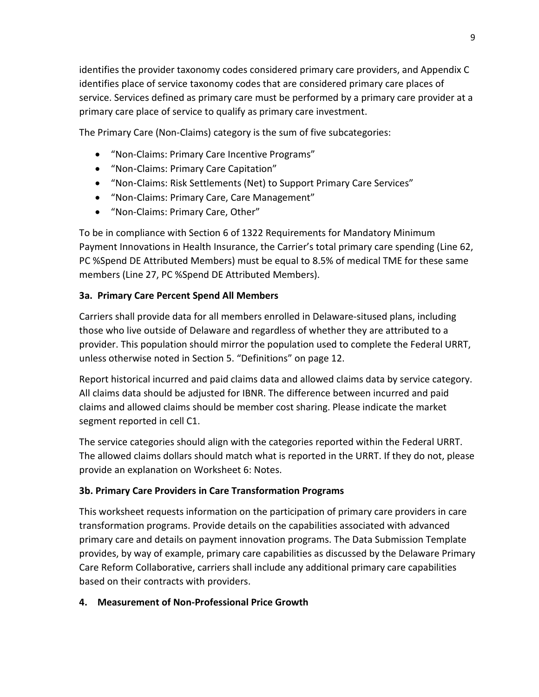identifies the provider taxonomy codes considered primary care providers, and Appendix C identifies place of service taxonomy codes that are considered primary care places of service. Services defined as primary care must be performed by a primary care provider at a primary care place of service to qualify as primary care investment.

The Primary Care (Non-Claims) category is the sum of five subcategories:

- "Non-Claims: Primary Care Incentive Programs"
- "Non‑Claims: Primary Care Capitation"
- "Non‑Claims: Risk Settlements (Net) to Support Primary Care Services"
- "Non‑Claims: Primary Care, Care Management"
- "Non-Claims: Primary Care, Other"

To be in compliance with Section 6 of 1322 Requirements for Mandatory Minimum Payment Innovations in Health Insurance, the Carrier's total primary care spending (Line 62, PC %Spend DE Attributed Members) must be equal to 8.5% of medical TME for these same members (Line 27, PC %Spend DE Attributed Members).

#### **3a. Primary Care Percent Spend All Members**

Carriers shall provide data for all members enrolled in Delaware-sitused plans, including those who live outside of Delaware and regardless of whether they are attributed to a provider. This population should mirror the population used to complete the Federal URRT, unless otherwise noted in Section 5. "Definitions" on page 12.

Report historical incurred and paid claims data and allowed claims data by service category. All claims data should be adjusted for IBNR. The difference between incurred and paid claims and allowed claims should be member cost sharing. Please indicate the market segment reported in cell C1.

The service categories should align with the categories reported within the Federal URRT. The allowed claims dollars should match what is reported in the URRT. If they do not, please provide an explanation on Worksheet 6: Notes.

#### **3b. Primary Care Providers in Care Transformation Programs**

This worksheet requests information on the participation of primary care providers in care transformation programs. Provide details on the capabilities associated with advanced primary care and details on payment innovation programs. The Data Submission Template provides, by way of example, primary care capabilities as discussed by the Delaware Primary Care Reform Collaborative, carriers shall include any additional primary care capabilities based on their contracts with providers.

#### **4. Measurement of Non-Professional Price Growth**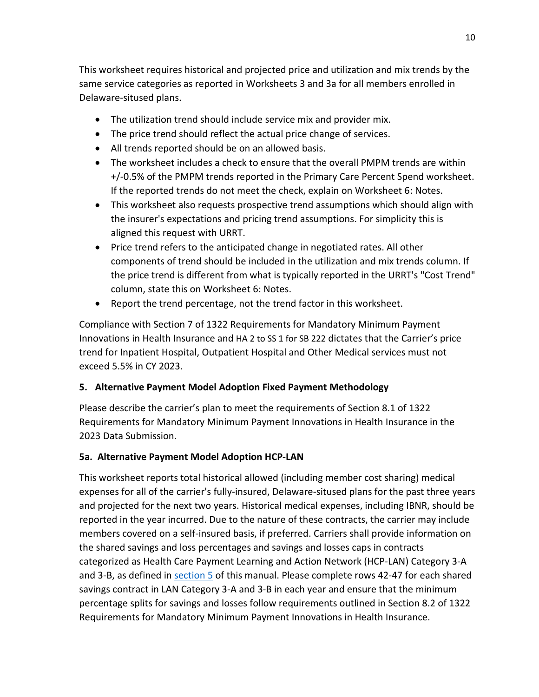This worksheet requires historical and projected price and utilization and mix trends by the same service categories as reported in Worksheets 3 and 3a for all members enrolled in Delaware-sitused plans.

- The utilization trend should include service mix and provider mix.
- The price trend should reflect the actual price change of services.
- All trends reported should be on an allowed basis.
- The worksheet includes a check to ensure that the overall PMPM trends are within +/-0.5% of the PMPM trends reported in the Primary Care Percent Spend worksheet. If the reported trends do not meet the check, explain on Worksheet 6: Notes.
- This worksheet also requests prospective trend assumptions which should align with the insurer's expectations and pricing trend assumptions. For simplicity this is aligned this request with URRT.
- Price trend refers to the anticipated change in negotiated rates. All other components of trend should be included in the utilization and mix trends column. If the price trend is different from what is typically reported in the URRT's "Cost Trend" column, state this on Worksheet 6: Notes.
- Report the trend percentage, not the trend factor in this worksheet.

Compliance with Section 7 of 1322 Requirements for Mandatory Minimum Payment Innovations in Health Insurance and HA 2 to SS 1 for SB 222 dictates that the Carrier's price trend for Inpatient Hospital, Outpatient Hospital and Other Medical services must not exceed 5.5% in CY 2023.

#### **5. Alternative Payment Model Adoption Fixed Payment Methodology**

Please describe the carrier's plan to meet the requirements of Section 8.1 of 1322 Requirements for Mandatory Minimum Payment Innovations in Health Insurance in the 2023 Data Submission.

#### **5a. Alternative Payment Model Adoption HCP-LAN**

This worksheet reports total historical allowed (including member cost sharing) medical expenses for all of the carrier's fully-insured, Delaware-sitused plans for the past three years and projected for the next two years. Historical medical expenses, including IBNR, should be reported in the year incurred. Due to the nature of these contracts, the carrier may include members covered on a self-insured basis, if preferred. Carriers shall provide information on the shared savings and loss percentages and savings and losses caps in contracts categorized as Health Care Payment Learning and Action Network (HCP-LAN) Category 3-A and 3-B, as defined in **section 5** of this manual. Please complete rows 42-47 for each shared savings contract in LAN Category 3-A and 3-B in each year and ensure that the minimum percentage splits for savings and losses follow requirements outlined in Section 8.2 of 1322 Requirements for Mandatory Minimum Payment Innovations in Health Insurance.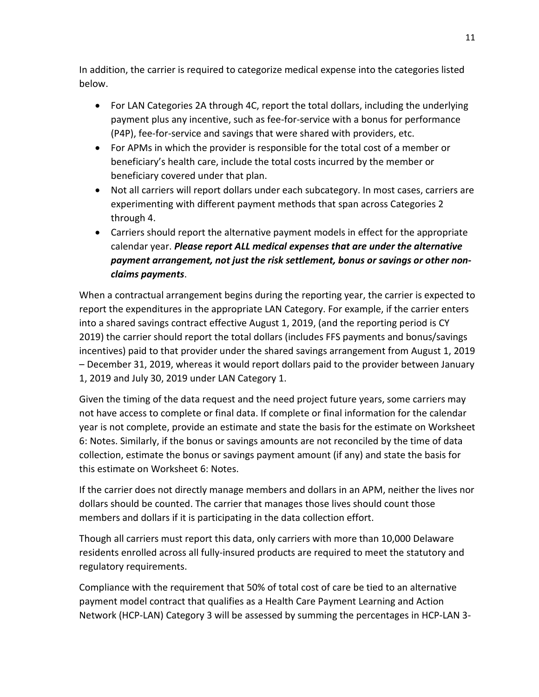In addition, the carrier is required to categorize medical expense into the categories listed below.

- For LAN Categories 2A through 4C, report the total dollars, including the underlying payment plus any incentive, such as fee-for-service with a bonus for performance (P4P), fee-for-service and savings that were shared with providers, etc.
- For APMs in which the provider is responsible for the total cost of a member or beneficiary's health care, include the total costs incurred by the member or beneficiary covered under that plan.
- Not all carriers will report dollars under each subcategory. In most cases, carriers are experimenting with different payment methods that span across Categories 2 through 4.
- Carriers should report the alternative payment models in effect for the appropriate calendar year. *Please report ALL medical expenses that are under the alternative payment arrangement, not just the risk settlement, bonus or savings or other nonclaims payments*.

When a contractual arrangement begins during the reporting year, the carrier is expected to report the expenditures in the appropriate LAN Category. For example, if the carrier enters into a shared savings contract effective August 1, 2019, (and the reporting period is CY 2019) the carrier should report the total dollars (includes FFS payments and bonus/savings incentives) paid to that provider under the shared savings arrangement from August 1, 2019 – December 31, 2019, whereas it would report dollars paid to the provider between January 1, 2019 and July 30, 2019 under LAN Category 1.

Given the timing of the data request and the need project future years, some carriers may not have access to complete or final data. If complete or final information for the calendar year is not complete, provide an estimate and state the basis for the estimate on Worksheet 6: Notes. Similarly, if the bonus or savings amounts are not reconciled by the time of data collection, estimate the bonus or savings payment amount (if any) and state the basis for this estimate on Worksheet 6: Notes.

If the carrier does not directly manage members and dollars in an APM, neither the lives nor dollars should be counted. The carrier that manages those lives should count those members and dollars if it is participating in the data collection effort.

Though all carriers must report this data, only carriers with more than 10,000 Delaware residents enrolled across all fully-insured products are required to meet the statutory and regulatory requirements.

Compliance with the requirement that 50% of total cost of care be tied to an alternative payment model contract that qualifies as a Health Care Payment Learning and Action Network (HCP-LAN) Category 3 will be assessed by summing the percentages in HCP-LAN 3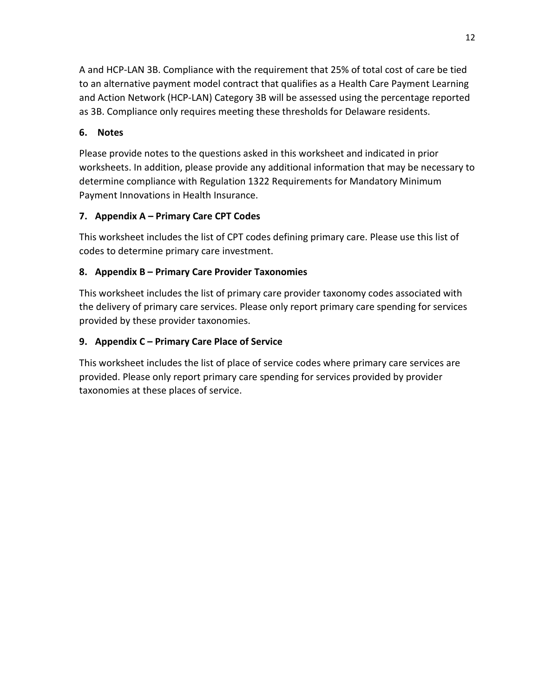A and HCP-LAN 3B. Compliance with the requirement that 25% of total cost of care be tied to an alternative payment model contract that qualifies as a Health Care Payment Learning and Action Network (HCP-LAN) Category 3B will be assessed using the percentage reported as 3B. Compliance only requires meeting these thresholds for Delaware residents.

#### **6. Notes**

Please provide notes to the questions asked in this worksheet and indicated in prior worksheets. In addition, please provide any additional information that may be necessary to determine compliance with Regulation 1322 Requirements for Mandatory Minimum Payment Innovations in Health Insurance.

#### **7. Appendix A – Primary Care CPT Codes**

This worksheet includes the list of CPT codes defining primary care. Please use this list of codes to determine primary care investment.

#### **8. Appendix B – Primary Care Provider Taxonomies**

This worksheet includes the list of primary care provider taxonomy codes associated with the delivery of primary care services. Please only report primary care spending for services provided by these provider taxonomies.

#### **9. Appendix C – Primary Care Place of Service**

This worksheet includes the list of place of service codes where primary care services are provided. Please only report primary care spending for services provided by provider taxonomies at these places of service.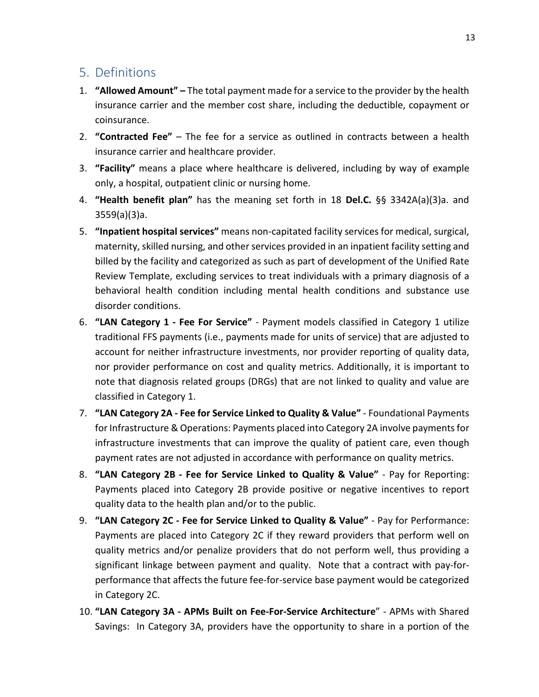### <span id="page-12-0"></span>5. Definitions

- 1. **"Allowed Amount"** The total payment made for a service to the provider by the health insurance carrier and the member cost share, including the deductible, copayment or coinsurance.
- 2. **"Contracted Fee"**  The fee for a service as outlined in contracts between a health insurance carrier and healthcare provider.
- 3. **"Facility"** means a place where healthcare is delivered, including by way of example only, a hospital, outpatient clinic or nursing home.
- 4. **"Health benefit plan"** has the meaning set forth in 18 **Del.C.** §§ 3342A(a)(3)a. and 3559(a)(3)a.
- 5. **"Inpatient hospital services"** means non-capitated facility services for medical, surgical, maternity, skilled nursing, and other services provided in an inpatient facility setting and billed by the facility and categorized as such as part of development of the Unified Rate Review Template, excluding services to treat individuals with a primary diagnosis of a behavioral health condition including mental health conditions and substance use disorder conditions.
- 6. **"LAN Category 1 Fee For Service"** Payment models classified in Category 1 utilize traditional FFS payments (i.e., payments made for units of service) that are adjusted to account for neither infrastructure investments, nor provider reporting of quality data, nor provider performance on cost and quality metrics. Additionally, it is important to note that diagnosis related groups (DRGs) that are not linked to quality and value are classified in Category 1.
- 7. **"LAN Category 2A Fee for Service Linked to Quality & Value"** Foundational Payments for Infrastructure & Operations: Payments placed into Category 2A involve payments for infrastructure investments that can improve the quality of patient care, even though payment rates are not adjusted in accordance with performance on quality metrics.
- 8. **"LAN Category 2B Fee for Service Linked to Quality & Value"** Pay for Reporting: Payments placed into Category 2B provide positive or negative incentives to report quality data to the health plan and/or to the public.
- 9. **"LAN Category 2C Fee for Service Linked to Quality & Value"** Pay for Performance: Payments are placed into Category 2C if they reward providers that perform well on quality metrics and/or penalize providers that do not perform well, thus providing a significant linkage between payment and quality. Note that a contract with pay-forperformance that affects the future fee-for-service base payment would be categorized in Category 2C.
- 10. **"LAN Category 3A APMs Built on Fee-For-Service Architecture**" APMs with Shared Savings: In Category 3A, providers have the opportunity to share in a portion of the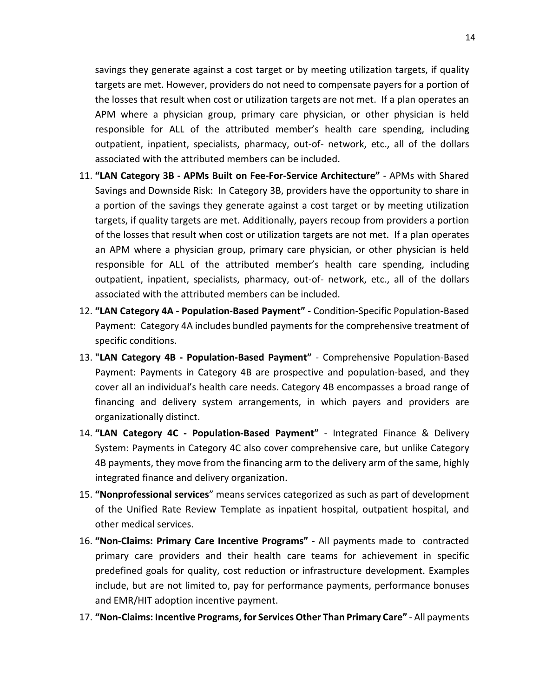savings they generate against a cost target or by meeting utilization targets, if quality targets are met. However, providers do not need to compensate payers for a portion of the losses that result when cost or utilization targets are not met. If a plan operates an APM where a physician group, primary care physician, or other physician is held responsible for ALL of the attributed member's health care spending, including outpatient, inpatient, specialists, pharmacy, out-of- network, etc., all of the dollars associated with the attributed members can be included.

- 11. **"LAN Category 3B - APMs Built on Fee-For-Service Architecture"** APMs with Shared Savings and Downside Risk: In Category 3B, providers have the opportunity to share in a portion of the savings they generate against a cost target or by meeting utilization targets, if quality targets are met. Additionally, payers recoup from providers a portion of the losses that result when cost or utilization targets are not met. If a plan operates an APM where a physician group, primary care physician, or other physician is held responsible for ALL of the attributed member's health care spending, including outpatient, inpatient, specialists, pharmacy, out-of- network, etc., all of the dollars associated with the attributed members can be included.
- 12. **"LAN Category 4A - Population-Based Payment"** Condition-Specific Population-Based Payment: Category 4A includes bundled payments for the comprehensive treatment of specific conditions.
- 13. **"LAN Category 4B - Population-Based Payment"** Comprehensive Population-Based Payment: Payments in Category 4B are prospective and population-based, and they cover all an individual's health care needs. Category 4B encompasses a broad range of financing and delivery system arrangements, in which payers and providers are organizationally distinct.
- 14. **"LAN Category 4C - Population-Based Payment"** Integrated Finance & Delivery System: Payments in Category 4C also cover comprehensive care, but unlike Category 4B payments, they move from the financing arm to the delivery arm of the same, highly integrated finance and delivery organization.
- 15. **"Nonprofessional services**" means services categorized as such as part of development of the Unified Rate Review Template as inpatient hospital, outpatient hospital, and other medical services.
- 16. **"Non-Claims: Primary Care Incentive Programs"** All payments made to contracted primary care providers and their health care teams for achievement in specific predefined goals for quality, cost reduction or infrastructure development. Examples include, but are not limited to, pay for performance payments, performance bonuses and EMR/HIT adoption incentive payment.
- 17. **"Non**‑**Claims: Incentive Programs, for Services Other Than Primary Care"** All payments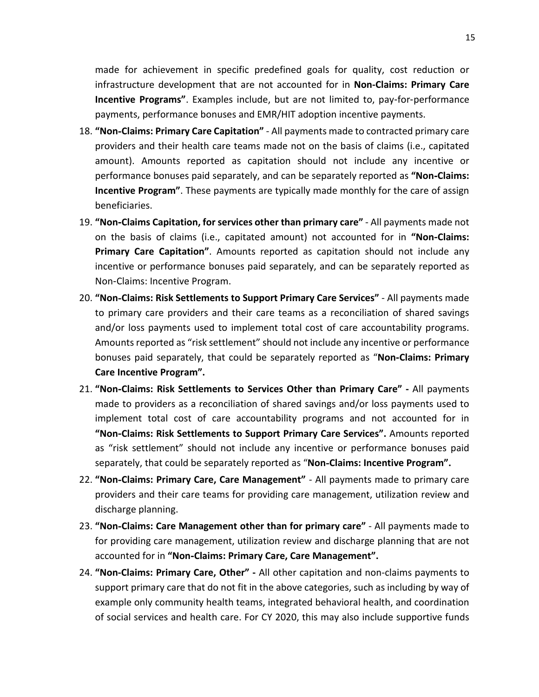made for achievement in specific predefined goals for quality, cost reduction or infrastructure development that are not accounted for in **Non-Claims: Primary Care Incentive Programs"**. Examples include, but are not limited to, pay-for-performance payments, performance bonuses and EMR/HIT adoption incentive payments.

- 18. **"Non**‑**Claims: Primary Care Capitation"** All payments made to contracted primary care providers and their health care teams made not on the basis of claims (i.e., capitated amount). Amounts reported as capitation should not include any incentive or performance bonuses paid separately, and can be separately reported as **"Non**‑**Claims: Incentive Program"**. These payments are typically made monthly for the care of assign beneficiaries.
- 19. **"Non**‑**Claims Capitation, for services other than primary care"** All payments made not on the basis of claims (i.e., capitated amount) not accounted for in **"Non**‑**Claims: Primary Care Capitation"**. Amounts reported as capitation should not include any incentive or performance bonuses paid separately, and can be separately reported as Non‑Claims: Incentive Program.
- 20. **"Non**‑**Claims: Risk Settlements to Support Primary Care Services"** All payments made to primary care providers and their care teams as a reconciliation of shared savings and/or loss payments used to implement total cost of care accountability programs. Amounts reported as "risk settlement" should not include any incentive or performance bonuses paid separately, that could be separately reported as "**Non**‑**Claims: Primary Care Incentive Program".**
- 21. **"Non**‑**Claims: Risk Settlements to Services Other than Primary Care" -** All payments made to providers as a reconciliation of shared savings and/or loss payments used to implement total cost of care accountability programs and not accounted for in **"Non**‑**Claims: Risk Settlements to Support Primary Care Services".** Amounts reported as "risk settlement" should not include any incentive or performance bonuses paid separately, that could be separately reported as "**Non**‑**Claims: Incentive Program".**
- 22. **"Non**‑**Claims: Primary Care, Care Management"** All payments made to primary care providers and their care teams for providing care management, utilization review and discharge planning.
- 23. **"Non**‑**Claims: Care Management other than for primary care"** All payments made to for providing care management, utilization review and discharge planning that are not accounted for in **"Non**‑**Claims: Primary Care, Care Management".**
- 24. **"Non-Claims: Primary Care, Other" -** All other capitation and non-claims payments to support primary care that do not fit in the above categories, such as including by way of example only community health teams, integrated behavioral health, and coordination of social services and health care. For CY 2020, this may also include supportive funds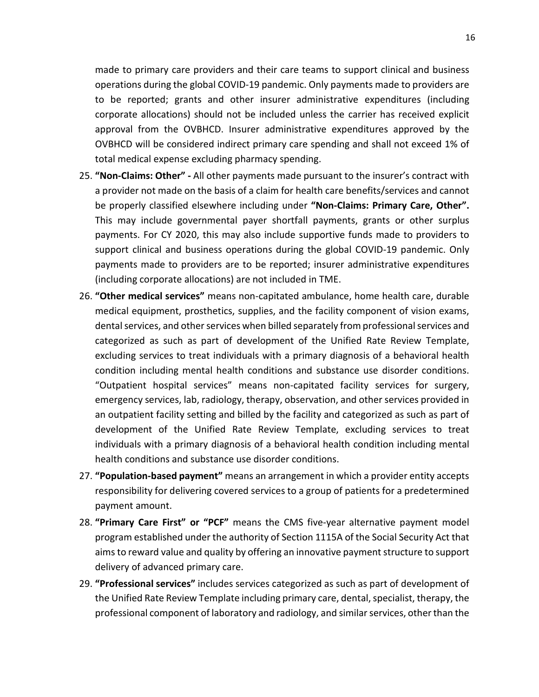made to primary care providers and their care teams to support clinical and business operations during the global COVID-19 pandemic. Only payments made to providers are to be reported; grants and other insurer administrative expenditures (including corporate allocations) should not be included unless the carrier has received explicit approval from the OVBHCD. Insurer administrative expenditures approved by the OVBHCD will be considered indirect primary care spending and shall not exceed 1% of total medical expense excluding pharmacy spending.

- 25. **"Non-Claims: Other" -** All other payments made pursuant to the insurer's contract with a provider not made on the basis of a claim for health care benefits/services and cannot be properly classified elsewhere including under **"Non-Claims: Primary Care, Other".**  This may include governmental payer shortfall payments, grants or other surplus payments. For CY 2020, this may also include supportive funds made to providers to support clinical and business operations during the global COVID-19 pandemic. Only payments made to providers are to be reported; insurer administrative expenditures (including corporate allocations) are not included in TME.
- 26. **"Other medical services"** means non-capitated ambulance, home health care, durable medical equipment, prosthetics, supplies, and the facility component of vision exams, dental services, and other services when billed separately from professional services and categorized as such as part of development of the Unified Rate Review Template, excluding services to treat individuals with a primary diagnosis of a behavioral health condition including mental health conditions and substance use disorder conditions. "Outpatient hospital services" means non-capitated facility services for surgery, emergency services, lab, radiology, therapy, observation, and other services provided in an outpatient facility setting and billed by the facility and categorized as such as part of development of the Unified Rate Review Template, excluding services to treat individuals with a primary diagnosis of a behavioral health condition including mental health conditions and substance use disorder conditions.
- 27. **"Population-based payment"** means an arrangement in which a provider entity accepts responsibility for delivering covered services to a group of patients for a predetermined payment amount.
- 28. **"Primary Care First" or "PCF"** means the CMS five-year alternative payment model program established under the authority of Section 1115A of the Social Security Act that aims to reward value and quality by offering an innovative payment structure to support delivery of advanced primary care.
- 29. **"Professional services"** includes services categorized as such as part of development of the Unified Rate Review Template including primary care, dental, specialist, therapy, the professional component of laboratory and radiology, and similar services, other than the